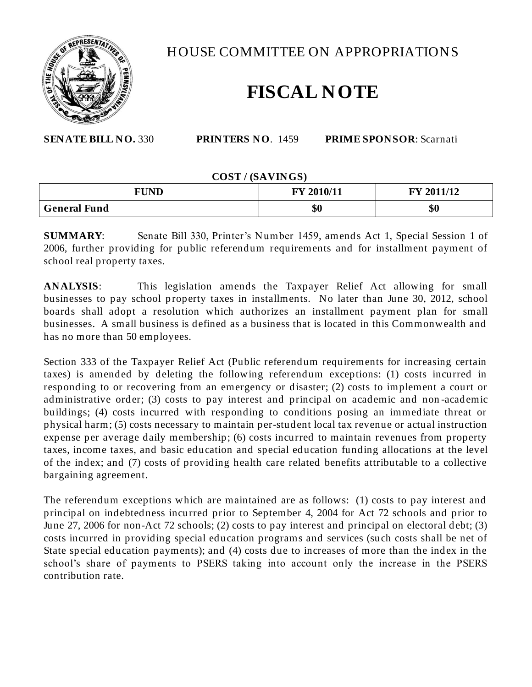

HOUSE COMMITTEE ON APPROPRIATIONS

## **FISCAL NOTE**

**SENATE BILL NO.** 330 **PRINTERS NO**. 1459 **PRIME SPONSOR**: Scarnati

## **COST / (SAVINGS)**

| <b>FUND</b>         | FY 2010/11 | 2011/12<br><b>FY</b> |
|---------------------|------------|----------------------|
| <b>General Fund</b> | \$0        | \$0                  |

**SUMMARY**: Senate Bill 330, Printer's Number 1459, amends Act 1, Special Session 1 of 2006, further providing for public referendum requirements and for installment payment of school real property taxes.

**ANALYSIS**: This legislation amends the Taxpayer Relief Act allowing for small businesses to pay school property taxes in installments. No later than June 30, 2012, school boards shall adopt a resolution which authorizes an installment payment plan for small businesses. A small business is defined as a business that is located in this Commonwealth and has no more than 50 employees.

Section 333 of the Taxpayer Relief Act (Public referendum requirements for increasing certain taxes) is amended by deleting the following referendum exceptions: (1) costs incurred in responding to or recovering from an emergency or disaster; (2) costs to implement a court or administrative order; (3) costs to pay interest and principal on academic and non -academic buildings; (4) costs incurred with responding to conditions posing an immediate threat or physical harm; (5) costs necessary to maintain per-student local tax revenue or actual instruction expense per average daily membership; (6) costs incurred to maintain revenues from property taxes, income taxes, and basic education and special education funding allocations at the level of the index; and (7) costs of providing health care related benefits attributable to a collective bargaining agreement.

The referendum exceptions which are maintained are as follows: (1) costs to pay interest and principal on indebtedness incurred prior to September 4, 2004 for Act 72 schools and prior to June 27, 2006 for non-Act 72 schools; (2) costs to pay interest and principal on electoral debt; (3) costs incurred in providing special education programs and services (such costs shall be net of State special education payments); and (4) costs due to increases of more than the index in the school's share of payments to PSERS taking into account only the increase in the PSERS contribution rate.